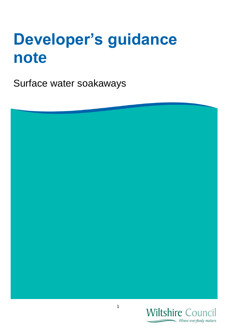# **Developer's guidance note**

Surface water soakaways



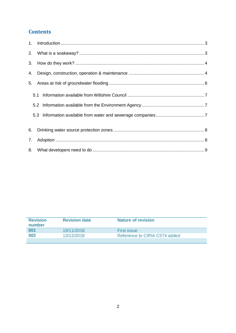## **Contents**

| 2. |     |  |
|----|-----|--|
|    |     |  |
| 4. |     |  |
| 5. |     |  |
|    | 5.1 |  |
|    |     |  |
|    |     |  |
| 6. |     |  |
| 7. |     |  |
|    |     |  |

| <b>Revision</b><br>number | <b>Revision date</b> | <b>Nature of revision</b>     |
|---------------------------|----------------------|-------------------------------|
| 001                       | 19/11/2018           | <b>First issue</b>            |
| 002                       | 13/12/2018           | Reference to CIRIA C574 added |
|                           |                      |                               |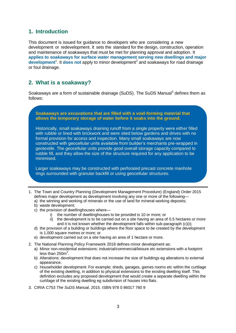## <span id="page-2-0"></span>**1. Introduction**

This document is issued for guidance to developers who are considering a new development or redevelopment. It sets the standard for the design, construction, operation and maintenance of soakaways that must be met for planning approval and adoption. It **applies to soakaways for surface water management serving new dwellings and major**  development<sup>1</sup>. It does not apply to minor development<sup>2</sup> and soakaways for road drainage or foul drainage.

## <span id="page-2-1"></span>**2. What is a soakaway?**

Soakaways are a form of sustainable drainage (SuDS). The SuDS Manual<sup>3</sup> defines them as follows:

**Soakaways are excavations that are filled with a void-forming material that allows the temporary storage of water before it soaks into the ground.**

Historically, small soakaways draining runoff from a single property were either filled with rubble or lined with brickwork and were sited below gardens and drives with no formal provision for access and inspection. Many small soakaways are now constructed with geocellular units available from builder's merchants pre-wrapped in geotextile. The geocellular units provide good overall storage capacity compared to rubble fill, and they allow the size of the structure required for any application to be minimised.

Larger soakaways may be constructed with perforated precast concrete manhole rings surrounded with granular backfill or using geocellular structures.

- 1. The Town and Country Planning (Development Management Procedure) (England) Order 2015 defines major development as development involving any one or more of the following
	- a) the winning and working of minerals or the use of land for mineral-working deposits;
	- b) waste development;
	- c) the provision of dwellinghouses where
		- i) the number of dwellinghouses to be provided is 10 or more; or
		- ii) the development is to be carried out on a site having an area of 0.5 hectares or more and it is not known whether the development falls within sub-paragraph (c)(i);
	- d) the provision of a building or buildings where the floor space to be created by the development is 1,000 square metres or more; or
	- e) development carried out on a site having an area of 1 hectare or more.
- 2. The National Planning Policy Framework 2018 defines minor development as:
	- a) Minor non-residential extensions: industrial/commercial/leisure etc extensions with a footprint less than  $250m^2$ .
	- b) Alterations: development that does not increase the size of buildings eg alterations to external appearance.
	- c) Householder development: For example; sheds, garages, games rooms etc within the curtilage of the existing dwelling, in addition to physical extensions to the existing dwelling itself. This definition excludes any proposed development that would create a separate dwelling within the curtilage of the existing dwelling eg subdivision of houses into flats.
- 3. CIRIA C753 *The SuDS Manual*, 2015. ISBN 978 0 86017 760 9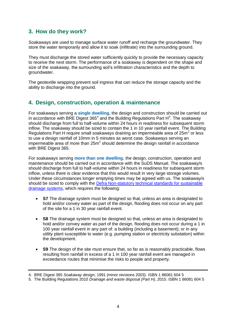## <span id="page-3-0"></span>**3. How do they work?**

Soakaways are used to manage surface water runoff and recharge the groundwater. They store the water temporarily and allow it to soak (infiltrate) into the surrounding ground.

They must discharge the stored water sufficiently quickly to provide the necessary capacity to receive the next storm. The performance of a soakaway is dependent on the shape and size of the soakaway, the surrounding soil's infiltration characteristics and the depth to groundwater.

The geotextile wrapping prevent soil ingress that can reduce the storage capacity and the ability to discharge into the ground.

## <span id="page-3-1"></span>**4. Design, construction, operation & maintenance**

For soakaways serving a **single dwelling**, the design and construction should be carried out in accordance with BRE Digest 365 $4$  and the Building Regulations Part H $5$ . The soakaway should discharge from full to half-volume within 24 hours in readiness for subsequent storm inflow. The soakaway should be sized to contain the 1 in 10 year rainfall event. The Building Regulations Part H require small soakaways draining an impermeable area of  $25m^2$  or less to use a design rainfall of 10mm in 5 minutes as worst case. Soakaways serving an impermeable area of more than  $25m^2$  should determine the design rainfall in accordance with BRE Digest 365.

For soakaways serving **more than one dwelling**, the design, construction, operation and maintenance should be carried out in accordance with the SuDS Manual. The soakaway/s should discharge from full to half-volume within 24 hours in readiness for subsequent storm inflow, unless there is clear evidence that this would result in very large storage volumes. Under these circumstances longer emptying times may be agreed with us. The soakaway/s should be sized to comply with the [Defra Non-statutory technical standards for sustainable](https://assets.publishing.service.gov.uk/government/uploads/system/uploads/attachment_data/file/415773/sustainable-drainage-technical-standards.pdf)  [drainage systems,](https://assets.publishing.service.gov.uk/government/uploads/system/uploads/attachment_data/file/415773/sustainable-drainage-technical-standards.pdf) which requires the following:

- **S7** The drainage system must be designed so that, unless an area is designated to hold and/or convey water as part of the design, flooding does not occur on any part of the site for a 1 in 30 year rainfall event.
- **S8** The drainage system must be designed so that, unless an area is designated to hold and/or convey water as part of the design, flooding does not occur during a 1 in 100 year rainfall event in any part of: a building (including a basement); or in any utility plant susceptible to water (e.g. pumping station or electricity substation) within the development.
- **S9** The design of the site must ensure that, so far as is reasonably practicable, flows resulting from rainfall in excess of a 1 in 100 year rainfall event are managed in exceedance routes that minimise the risks to people and property.

<sup>4.</sup> BRE Digest 365 *Soakaway design*, 1991 (minor revisions 2003). ISBN 1 86081 604 5

<sup>5.</sup> The Building Regulations 2010 *Drainage and waste disposal (Part H)*, 2015. ISBN 1 86081 604 5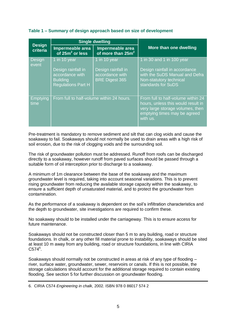#### **Table 1 – Summary of design approach based on size of development**

|                           | <b>Single dwelling</b>                                                                                |                                                                                |                                                                                                                                                          |
|---------------------------|-------------------------------------------------------------------------------------------------------|--------------------------------------------------------------------------------|----------------------------------------------------------------------------------------------------------------------------------------------------------|
| <b>Design</b><br>criteria | Impermeable area<br>of $25m^2$ or less                                                                | Impermeable area<br>of more than $25m^2$                                       | More than one dwelling                                                                                                                                   |
| Design<br>event           | 1 in 10 year<br>Design rainfall in<br>accordance with<br><b>Building</b><br><b>Regulations Part H</b> | 1 in 10 year<br>Design rainfall in<br>accordance with<br><b>BRE Digest 365</b> | 1 in 30 and 1 in 100 year<br>Design rainfall in accordance<br>with the SuDS Manual and Defra<br>Non-statutory technical<br>standards for SuDS            |
| <b>Emptying</b><br>time   | From full to half-volume within 24 hours.                                                             |                                                                                | From full to half-volume within 24<br>hours, unless this would result in<br>very large storage volumes, then<br>emptying times may be agreed<br>with us. |

Pre-treatment is mandatory to remove sediment and silt that can clog voids and cause the soakaway to fail. Soakaways should not normally be used to drain areas with a high risk of soil erosion, due to the risk of clogging voids and the surrounding soil.

The risk of groundwater pollution must be addressed. Runoff from roofs can be discharged directly to a soakaway, however runoff from paved surfaces should be passed through a suitable form of oil interception prior to discharge to a soakaway.

A minimum of 1m clearance between the base of the soakaway and the maximum groundwater level is required, taking into account seasonal variations. This is to prevent rising groundwater from reducing the available storage capacity within the soakaway, to ensure a sufficient depth of unsaturated material, and to protect the groundwater from contamination.

As the performance of a soakaway is dependent on the soil's infiltration characteristics and the depth to groundwater, site investigations are required to confirm these.

No soakaway should to be installed under the carriageway. This is to ensure access for future maintenance.

Soakaways should not be constructed closer than 5 m to any building, road or structure foundations. In chalk, or any other fill material prone to instability, soakaways should be sited at least 10 m away from any building, road or structure foundations, in line with CIRIA  $C574^6$ .

Soakaways should normally not be constructed in areas at risk of any type of flooding – river, surface water, groundwater, sewer, reservoirs or canals. If this is not possible, the storage calculations should account for the additional storage required to contain existing flooding. See section 5 for further discussion on groundwater flooding.

6. CIRIA C574 *Engineering in chalk*, 2002. ISBN 978 0 86017 574 2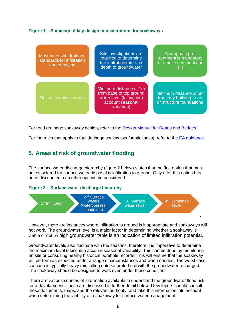#### **Figure 1 – Summary of key design considerations for soakaways**

| Must meet site drainage<br>standards for infiltration<br>and emptying | Site investigations are<br>required to determine<br>the infitration rate and<br>depth to groundwater            | Appropriate pre-<br>treatment is mandatory<br>to remove sediment and<br>silt. |
|-----------------------------------------------------------------------|-----------------------------------------------------------------------------------------------------------------|-------------------------------------------------------------------------------|
| No soakaways in roads                                                 | Minimum distance of 1m<br>from base to top ground<br>water level (taking into<br>account seasonal<br>variation) | Minimum distance of 5m<br>from any building, road<br>or structure foundations |

For road drainage soakaway design, refer to the [Design Manual for Roads and Bridges.](http://www.standardsforhighways.co.uk/ha/standards/dmrb/vol4/section2/ha11806.pdf)

<span id="page-5-0"></span>For the rules that apply to foul drainage soakaways (septic tanks), refer to the [EA guidance.](https://www.gov.uk/permits-you-need-for-septic-tanks)

## **5. Areas at risk of groundwater flooding**

The surface water discharge hierarchy (figure 2 below) states that the first option that must be considered for surface water disposal is infiltration to ground. Only after this option has been discounted, can other options be considered.

#### **Figure 2 – Surface water discharge hierarchy**



However, there are instances where infiltration to ground is inappropriate and soakaways will not work. The groundwater level is a major factor in determining whether a soakaway is viable or not. A high groundwater table is an indication of limited infiltration potential.

Groundwater levels also fluctuate with the seasons, therefore it is imperative to determine the maximum level taking into account seasonal variability. This can be done by monitoring on site or consulting nearby historical borehole records. This will ensure that the soakaway will perform as expected under a range of circumstances and when needed. The worst case scenario is typically heavy rain falling onto saturated soil with the groundwater recharged. The soakaway should be designed to work even under these conditions.

There are various sources of information available to understand the groundwater flood risk for a development. These are discussed in further detail below. Developers should consult these documents, maps, and the relevant authority, and take this information into account when determining the viability of a soakaway for surface water management.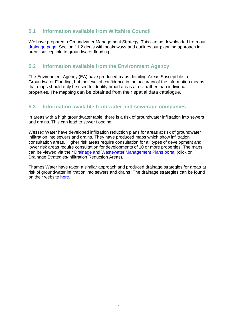## <span id="page-6-0"></span>**5.1 Information available from Wiltshire Council**

We have prepared a Groundwater Management Strategy. This can be downloaded from our [drainage page.](http://www.wiltshire.gov.uk/civil-emergencies-drainage) Section 11.2 deals with soakaways and outlines our planning approach in areas susceptible to groundwater flooding.

## <span id="page-6-1"></span>**5.2 Information available from the Environment Agency**

The Environment Agency (EA) have produced maps detailing Areas Susceptible to Groundwater Flooding, but the level of confidence in the accuracy of the information means that maps should only be used to identify broad areas at risk rather than individual properties. The mapping can be obtained from their spatial data catalogue.

## <span id="page-6-2"></span>**5.3 Information available from water and sewerage companies**

In areas with a high groundwater table, there is a risk of groundwater infiltration into sewers and drains. This can lead to sewer flooding.

Wessex Water have developed infiltration reduction plans for areas at risk of groundwater infiltration into sewers and drains. They have produced maps which show infiltration consultation areas. Higher risk areas require consultation for all types of development and lower risk areas require consultation for developments of 10 or more properties. The maps can be viewed via their [Drainage and Wastewater Management Plans portal](https://wessexwater.maps.arcgis.com/apps/MapSeries/index.html?appid=e371301c24ca4228b36db3a3a6ba8560) (click on Drainage Strategies/Infiltration Reduction Areas).

<span id="page-6-3"></span>Thames Water have taken a similar approach and produced drainage strategies for areas at risk of groundwater infiltration into sewers and drains. The drainage strategies can be found on their website [here.](https://corporate.thameswater.co.uk/About-us/Investing-in-our-network/Drainage-strategies/Stage-1)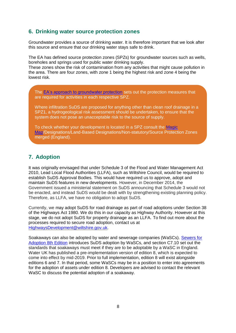## **6. Drinking water source protection zones**

Groundwater provides a source of drinking water. It is therefore important that we look after this source and ensure that our drinking water stays safe to drink.

The EA has defined source protection zones (SPZs) for groundwater sources such as wells, boreholes and springs used for public water drinking supply.

These zones show the risk of contamination from any activities that might cause pollution in the area. There are four zones, with zone 1 being the highest risk and zone 4 being the lowest risk.

The [EA's approach to groundwater protection](https://assets.publishing.service.gov.uk/government/uploads/system/uploads/attachment_data/file/692989/Envirnment-Agency-approach-to-groundwater-protection.pdf) sets out the protection measures that are required for activities in each respective SPZ.

Where infiltration SuDS are proposed for anything other than clean roof drainage in a SPZ1, a hydrogeological risk assessment should be undertaken, to ensure that the system does not pose an unacceptable risk to the source of supply.

To check whether your development is located in a SPZ consult the [Magic](https://magic.defra.gov.uk/MagicMap.aspx)  [Map/](https://magic.defra.gov.uk/MagicMap.aspx)Designations/Land-Based Designations/Non-statutory/Source Protection Zones merged (England).

## <span id="page-7-0"></span>**7. Adoption**

It was originally envisaged that under Schedule 3 of the Flood and Water Management Act 2010, Lead Local Flood Authorities (LLFA), such as Wiltshire Council, would be required to establish SuDS Approval Bodies. This would have required us to approve, adopt and maintain SuDS features in new developments. However, in December 2014, the Government issued a ministerial statement on SuDS announcing that Schedule 3 would not be enacted, and instead SuDS would be dealt with by strengthening existing planning policy. Therefore, as LLFA, we have no obligation to adopt SuDS.

Currently, we may adopt SuDS for road drainage as part of road adoptions under Section 38 of the Highways Act 1980. We do this in our capacity as Highway Authority. However at this stage, we do not adopt SuDS for property drainage as an LLFA. To find out more about the processes required to secure road adoption, contact us at [HighwaysDevelopment@wiltshire.gov.uk.](mailto:HighwaysDevelopment@wiltshire.gov.uk)

<span id="page-7-1"></span>Soakaways can also be adopted by water and sewerage companies (WaSCs). [Sewers for](https://www.water.org.uk/policy/improving-resilience/sustainable-drainage-systems)  [Adoption 8th Edition](https://www.water.org.uk/policy/improving-resilience/sustainable-drainage-systems) introduces SuDS adoption by WaSCs, and section C7.10 set out the standards that soakaways must meet if they are to be adoptable by a WaSC in England. Water UK has published a pre-implementation version of edition 8, which is expected to come into effect by mid-2019. Prior to full implementation, edition 8 will exist alongside editions 6 and 7. In that period, some WaSCs may be in a position to enter into agreements for the adoption of assets under edition 8. Developers are advised to contact the relevant WaSC to discuss the potential adoption of a soakaway.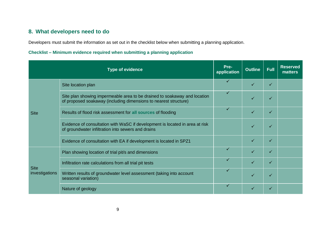# **8. What developers need to do**

Developers must submit the information as set out in the checklist below when submitting a planning application.

### **Checklist – Minimum evidence required when submitting a planning application**

| <b>Type of evidence</b> |                                                                                                                                               | Pre-<br>application | <b>Outline</b> | <b>Full</b> | <b>Reserved</b><br>matters |
|-------------------------|-----------------------------------------------------------------------------------------------------------------------------------------------|---------------------|----------------|-------------|----------------------------|
|                         | Site location plan                                                                                                                            | ✓                   | ✓              | ✓           |                            |
|                         | Site plan showing impermeable area to be drained to soakaway and location<br>of proposed soakaway (including dimensions to nearest structure) | ✓                   |                | ✓           |                            |
| <b>Site</b>             | Results of flood risk assessment for all sources of flooding                                                                                  | ✓                   |                | ✓           |                            |
|                         | Evidence of consultation with WaSC if development is located in area at risk<br>of groundwater infiltration into sewers and drains            |                     |                | ✓           |                            |
|                         | Evidence of consultation with EA if development is located in SPZ1                                                                            |                     |                | ✓           |                            |
|                         | Plan showing location of trial pit/s and dimensions                                                                                           | ✓                   |                | ✓           |                            |
| <b>Site</b>             | Infiltration rate calculations from all trial pit tests                                                                                       | ✓                   | ✓              | ✓           |                            |
| investigations          | Written results of groundwater level assessment (taking into account<br>seasonal variation)                                                   | ✓                   | ✓              | ✓           |                            |
|                         | Nature of geology                                                                                                                             | ✓                   |                |             |                            |